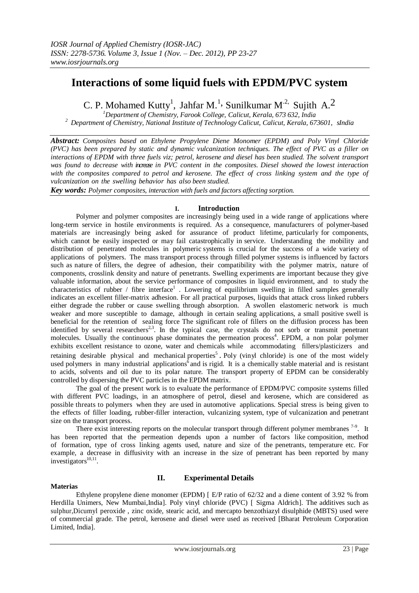# **Interactions of some liquid fuels with EPDM/PVC system**

C. P. Mohamed Kutty<sup>1</sup>, Jahfar M.<sup>1</sup>, Sunilkumar M<sup>2,</sup> Sujith A.<sup>2</sup>

*<sup>1</sup>Department of Chemistry, Farook College, Calicut, Kerala, 673 632, India <sup>2</sup> Department of Chemistry, National Institute of Technology Calicut, Calicut, Kerala, 673601, sIndia*

*Abstract: Composites based on Ethylene Propylene Diene Monomer (EPDM) and Poly Vinyl Chloride (PVC) has been prepared by static and dynamic vulcanization techniques. The effect of PVC as a filler on* interactions of EPDM with three fuels viz; petrol, kerosene and diesel has been studied. The solvent transport *was found to decrease with increase in PVC content in the composites. Diesel showed the lowest interaction* with the composites compared to petrol and kerosene. The effect of cross linking system and the type of *vulcanization on the swelling behavior has also been studied.*

*Key words: Polymer composites, interaction with fuels and factors affecting sorption.*

## **I. Introduction**

Polymer and polymer composites are increasingly being used in a wide range of applications where long-term service in hostile environments is required. As a consequence, manufacturers of polymer-based materials are increasingly being asked for assurance of product lifetime, particularly for components, which cannot be easily inspected or may fail catastrophically in service. Understanding the mobility and distribution of penetrated molecules in polymeric systems is crucial for the success of a wide variety of applications of polymers. The mass transport process through filled polymer systems is influenced by factors such as nature of fillers, the degree of adhesion, their compatibility with the polymer matrix, nature of components, crosslink density and nature of penetrants. Swelling experiments are important because they give valuable information, about the service performance of composites in liquid environment, and to study the characteristics of rubber / fibre interface<sup>1</sup>. Lowering of equilibrium swelling in filled samples generally indicates an excellent filler-matrix adhesion. For all practical purposes, liquids that attack cross linked rubbers either degrade the rubber or cause swelling through absorption. A swollen elastomeric network is much weaker and more susceptible to damage, although in certain sealing applications, a small positive swell is beneficial for the retention of sealing force The significant role of fillers on the diffusion process has been identified by several researchers<sup>2,3</sup>. In the typical case, the crystals do not sorb or transmit penetrant molecules. Usually the continuous phase dominates the permeation process<sup>4</sup>. EPDM, a non polar polymer exhibits excellent resistance to ozone, water and chemicals while accommodating fillers/plasticizers and retaining desirable physical and mechanical properties<sup>5</sup>. Poly (vinyl chloride) is one of the most widely used polymers in many industrial applications<sup> $\bar{6}$ </sup> and is rigid. It is a chemically stable material and is resistant to acids, solvents and oil due to its polar nature. The transport property of EPDM can be considerably controlled by dispersing the PVC particles in the EPDM matrix.

The goal of the present work is to evaluate the performance of EPDM/PVC composite systems filled with different PVC loadings, in an atmosphere of petrol, diesel and kerosene, which are considered as possible threats to polymers when they are used in automotive applications. Special stress is being given to the effects of filler loading, rubber-filler interaction, vulcanizing system, type of vulcanization and penetrant size on the transport process.

There exist interesting reports on the molecular transport through different polymer membranes<sup>7-9</sup>. It has been reported that the permeation depends upon a number of factors like composition, method of formation, type of cross linking agents used, nature and size of the penetrants, temperature etc. For example, a decrease in diffusivity with an increase in the size of penetrant has been reported by many investigators<sup>10,11</sup>.

## **Materias**

## **II. Experimental Details**

 Ethylene propylene diene monomer (EPDM) [ E/P ratio of 62/32 and a diene content of 3.92 % from Herdilla Unimers, New Mumbai,India]. Poly vinyl chloride (PVC) [ Sigma Aldrich]. The additives such as sulphur,Dicumyl peroxide , zinc oxide, stearic acid, and mercapto benzothiazyl disulphide (MBTS) used were of commercial grade. The petrol, kerosene and diesel were used as received [Bharat Petroleum Corporation Limited, India].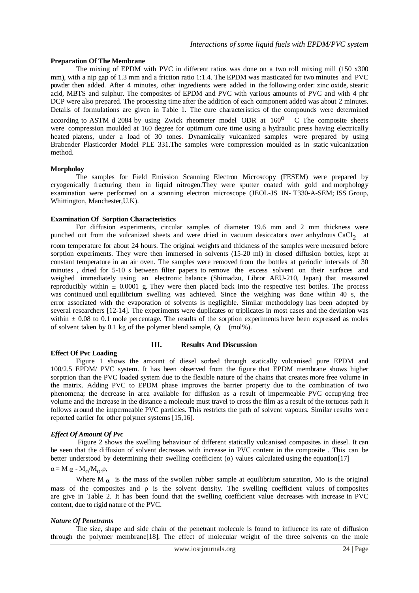## **Preparation Of The Membrane**

 The mixing of EPDM with PVC in different ratios was done on a two roll mixing mill (150 x300 mm), with a nip gap of 1.3 mm and a friction ratio 1:1.4. The EPDM was masticated for two minutes and PVC powder then added. After 4 minutes, other ingredients were added in the following order: zinc oxide, stearic acid, MBTS and sulphur. The composites of EPDM and PVC with various amounts of PVC and with 4 phr DCP were also prepared. The processing time after the addition of each component added was about 2 minutes. Details of formulations are given in Table 1. The cure characteristics of the compounds were determined according to ASTM d 2084 by using Zwick rheometer model ODR at  $160^{\circ}$  C The composite sheets were compression moulded at 160 degree for optimum cure time using a hydraulic press having electrically heated platens, under a load of 30 tones. Dynamically vulcanized samples were prepared by using Brabender Plasticorder Model PLE 331.The samples were compression moulded as in static vulcanization method.

## **Morpholoy**

 The samples for Field Emission Scanning Electron Microscopy (FESEM) were prepared by cryogenically fracturing them in liquid nitrogen.They were sputter coated with gold and morphology examination were performed on a scanning electron microscope (JEOL-JS IN- T330-A-SEM; ISS Group, Whittington, Manchester,U.K).

## **Examination Of Sorption Characteristics**

 For diffusion experiments, circular samples of diameter 19.6 mm and 2 mm thickness were punched out from the vulcanized sheets and were dried in vacuum desiccators over anhydrous CaCl<sub>2</sub> at room temperature for about 24 hours. The original weights and thickness of the samples were measured before sorption experiments. They were then immersed in solvents (15-20 ml) in closed diffusion bottles, kept at constant temperature in an air oven. The samples were removed from the bottles at periodic intervals of 30 minutes , dried for 5-10 s between filter papers to remove the excess solvent on their surfaces and weighed immediately using an electronic balance (Shimadzu, Libror AEU-210, Japan) that measured reproducibly within  $\pm$  0.0001 g. They were then placed back into the respective test bottles. The process was continued until equilibrium swelling was achieved. Since the weighing was done within 40 s, the error associated with the evaporation of solvents is negligible. Similar methodology has been adopted by several researchers [12-14]. The experiments were duplicates or triplicates in most cases and the deviation was within  $\pm$  0.08 to 0.1 mole percentage. The results of the sorption experiments have been expressed as moles of solvent taken by 0.1 kg of the polymer blend sample,  $Q_t$  (mol%).

## **Effect Of Pvc Loading**

## **III. Results And Discussion**

 Figure 1 shows the amount of diesel sorbed through statically vulcanised pure EPDM and 100/2.5 EPDM/ PVC system. It has been observed from the figure that EPDM membrane shows higher sorptrion than the PVC loaded system due to the flexible nature of the chains that creates more free volume in the matrix. Adding PVC to EPDM phase improves the barrier property due to the combination of two phenomena; the decrease in area available for diffusion as a result of impermeable PVC occupying free volume and the increase in the distance a molecule must travel to cross the film as a result of the tortuous path it follows around the impermeable PVC particles. This restricts the path of solvent vapours. Similar results were reported earlier for other polymer systems [15,16].

## *Effect Of Amount Of Pvc*

 Figure 2 shows the swelling behaviour of different statically vulcanised composites in diesel. It can be seen that the diffusion of solvent decreases with increase in PVC content in the composite . This can be better understood by determining their swelling coefficient  $(\alpha)$  values calculated using the equation[17]

# $\alpha = M \alpha - M_0 / M_0 \rho$ ,

Where M  $\alpha$  is the mass of the swollen rubber sample at equilibrium saturation, Mo is the original mass of the composites and  $\rho$  is the solvent density. The swelling coefficient values of composites are give in Table 2. It has been found that the swelling coefficient value decreases with increase in PVC content, due to rigid nature of the PVC.

## *Nature Of Penetrants*

The size, shape and side chain of the penetrant molecule is found to influence its rate of diffusion through the polymer membrane[18]. The effect of molecular weight of the three solvents on the mole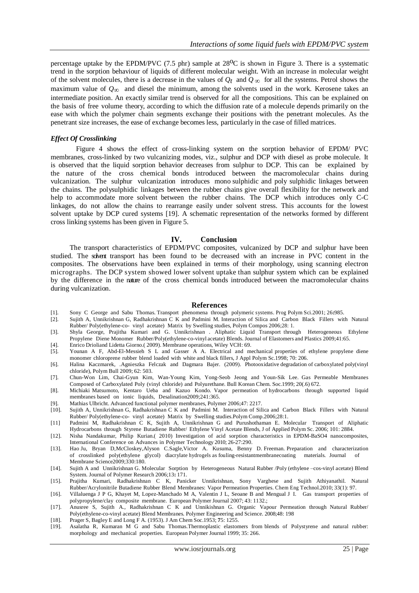percentage uptake by the EPDM/PVC (7.5 phr) sample at  $28^{\circ}$ C is shown in Figure 3. There is a systematic trend in the sorption behaviour of liquids of different molecular weight. With an increase in molecular weight of the solvent molecules, there is a decrease in the values of  $Q_t$  and  $Q_\infty$  for all the systems. Petrol shows the maximum value of *Q*∞ and diesel the minimum, among the solvents used in the work. Kerosene takes an intermediate position. An exactly similar trend is observed for all the compositions. This can be explained on the basis of free volume theory, according to which the diffusion rate of a molecule depends primarily on the ease with which the polymer chain segments exchange their positions with the penetrant molecules. As the penetrant size increases, the ease of exchange becomes less, particularly in the case of filled matrices.

## *Effect Of Crosslinking*

Figure 4 shows the effect of cross-linking system on the sorption behavior of EPDM/ PVC membranes, cross-linked by two vulcanizing modes, viz., sulphur and DCP with diesel as probe molecule. It is observed that the liquid sorption behavior decreases from sulphur to DCP. This can be explained by the nature of the cross chemical bonds introduced between the macromolecular chains during vulcanization. The sulphur vulcanization introduces mono sulphidic and poly sulphidic linkages between the chains. The polysulphidic linkages between the rubber chains give overall flexibility for the network and help to accommodate more solvent between the rubber chains. The DCP which introduces only C-C linkages, do not allow the chains to rearrange easily under solvent stress. This accounts for the lowest solvent uptake by DCP cured systems [19]. A schematic representation of the networks formed by different cross linking systems has been given in Figure 5.

#### **IV. Conclusion**

The transport characteristics of EPDM/PVC composites, vulcanized by DCP and sulphur have been studied. The solvent transport has been found to be decreased with an increase in PVC content in the composites. The observations have been explained in terms of their morphology, using scanning electron micrographs. The DCP system showed lower solvent uptake than sulphur system which can be explained by the difference in the nature of the cross chemical bonds introduced between the macromolecular chains during vulcanization.

#### **References**

- [1]. Sony C George and Sabu Thomas. Transport phenomena through polymeric systems. Prog Polym Sci.2001; 26**:**985.
- [2]. Sujith A, Unnikrishnan G, Radhakrishnan C K and Padmini M. Interaction of Silica and Carbon Black Fillers with Natural Rubber/ Poly(ethylene-co- vinyl acetate) Matrix by Swelling studies, Polym Compos 2006;28: 1.
- [3]. Shyla George, Prajitha Kumari and G. Unnikrishnan . Aliphatic Liquid Transport through Heterogeneous Ethylene Propylene Diene Monomer Rubber/Poly(ethylene-co-vinyl acetate) Blends. Journal of Elastomers and Plastics 2009;41:65.
- [4]. Enrico Drioliand Lidetta Giorno.( 2009). Membrane operations, Wiley VCH: 69.
- [5]. Younan A F, Abd-El-Messieh S L and Gasser A A. Electrical and mechanical properties of ethylene propylene diene monomer chloroprene rubber blend loaded with white and black fillers, J Appl Polym Sc.1998; 70: 206.
- [6]. Halina Kaczmarek, .Agnieszka Felczak and Dagmara Bajer. (2009). Photooxidative degradation of carboxylated poly(vinyl chloride), Polym Bull 2009; 62: 503.
- [7]. Chun-Won Lim, Chai-Gyun Kim, Wan-Young Kim, Yong-Seob Jeong and Youn-Sik Lee. Gas Permeable Membranes Composed of Carboxylated Poly (vinyl chloride) and Polyurethane. Bull Korean Chem. Soc.1999; 20(.6) 672.
- [8]. Michiaki Matsumoto, Kentaro Ueba and Kazuo Kondo. Vapor permeation of hydrocarbons through supported liquid membranes based on ionic liquids, Desalination2009;241:365.
- [9]. Mathias Ulbricht. Advanced functional polymer membranes, Polymer 2006;47: 2217.
- [10]. Sujith A, Unnikrishnan G, Radhakrishnan C K and Padmini M. Interaction of Silica and Carbon Black Fillers with Natural Rubber/ Poly(ethylene-co- vinyl acetate) Matrix by Swelling studies.Polym Comp.2006;28:1.
- [11] Padmini M, Radhakrishnan C K, Sujith A, Unnikrishnan G and Purushothaman E. Molecular Transport of Aliphatic Hydrocarbons through Styrene Butadiene Rubber/ Ethylene Vinyl Acetate Blends, J of Applied Polym Sc. 2006; 101: 2884.
- [12]. Nisha Nandakumar, Philip Kurian.( 2010) Investigation of acid sorption characteristics in EPDM-BaSO4 nanocomposites, International Conference on Advances in Polymer Technology 2010; 26-27:290.
- [13]. Hao Ju, Bryan D,McCloskey,Alyson C.Sagle,Victor A. Kusuma, Benny D. Freeman. Preparation and characterization of crosslinked poly(ethylene glycol) diacrylate hydrogels as fouling-resistantmembranecoating materials. Journal of Membrane Science2009;330:180.
- [14]. Sujith A and Unnikrishnan G. Molecular Sorption by Heterogeneous Natural Rubber /Poly (ethylene –cos-vinyl acetate) Blend System. Journal of Polymer Research 2006;13**:** 171.
- [15]. Prajitha Kumari, Radhakrishnan C K, Panicker Unnikrishnan, Sony Varghese and Sujith Athiyanathil. Natural Rubber/Acrylonitrile Butadiene Rubber Blend Membranes: Vapor Permeation Properties. Chem Eng Technol.2010; 33(1): 97.
- [16]. Villaluenga J P G, Khayet M, Lopez-Manchado M A, Valentin J L, Seoane B and Mengual J I. Gas transport properties of polypropylene/clay composite membrane. European Polymer Journal 2007; 43: 1132.;
- [17]. Anusree S, Sujith A., Radhakrishnan C K and Unnikishnan G. Organic Vapour Permeation through Natural Rubber/ Poly(ethylene-co-vinyl acetate) Blend Membranes. Polymer Engineering and Science. 2008;48: 198
- [18]. Prager S, Bagley E and Long F A. (1953). J Am Chem Soc.1953; **7**5: 1255.
- [19]. Asalatha R, Kumaran M G and Sabu Thomas.Thermoplastic elastomers from blends of Polystyrene and natural rubber: morphology and mechanical properties. European Polymer Journal 1999; 35: 266.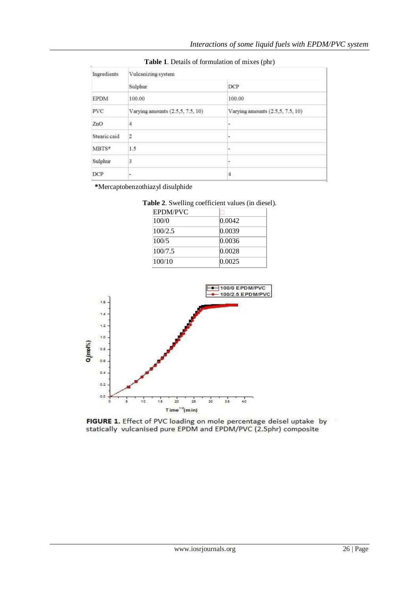| Ingredients  | Vulcanizing system               |                                  |
|--------------|----------------------------------|----------------------------------|
|              | Sulphur                          | DCP                              |
| <b>EPDM</b>  | 100.00                           | 100.00                           |
| PVC          | Varying amounts (2.5,5, 7.5, 10) | Varying amounts (2.5,5, 7.5, 10) |
| ZnO          |                                  | ٠                                |
| Stearic caid | 2                                |                                  |
| MBTS*        | 1.5                              |                                  |
| Sulphur      | 3                                |                                  |
| DCP          |                                  | 4                                |

**Table 1**. Details of formulation of mixes (phr)

 **\***Mercaptobenzothiazyl disulphide

| $\mu$ 2. Swelling coefficient values (in these |        |  |
|------------------------------------------------|--------|--|
| <b>EPDM/PVC</b>                                |        |  |
| 100/0                                          | 0.0042 |  |
| 100/2.5                                        | 0.0039 |  |
| 100/5                                          | 0.0036 |  |
| 100/7.5                                        | 0.0028 |  |
| 100/10                                         | 0.0025 |  |

**Table 2**. Swelling coefficient values (in diesel).



FIGURE 1. Effect of PVC loading on mole percentage deisel uptake by statically vulcanised pure EPDM and EPDM/PVC (2.5phr) composite